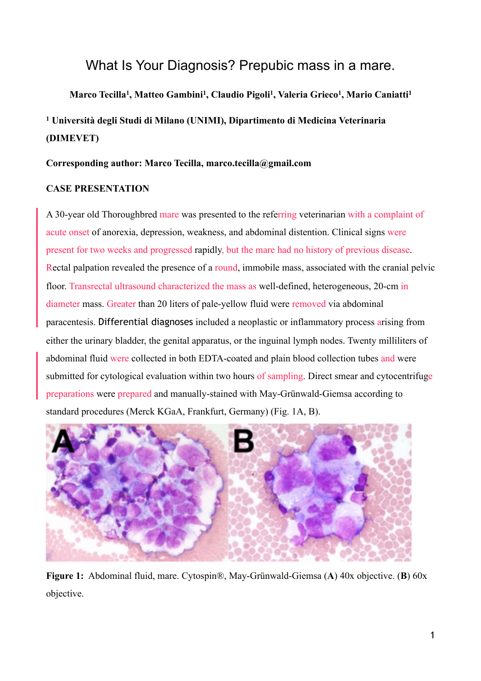# What Is Your Diagnosis? Prepubic mass in a mare.

# **Marco Tecilla1, Matteo Gambini1, Claudio Pigoli1, Valeria Grieco1, Mario Caniatti1 1 Università degli Studi di Milano (UNIMI), Dipartimento di Medicina Veterinaria (DIMEVET)**

# **Corresponding author: Marco Tecilla, marco.tecilla@gmail.com**

# **CASE PRESENTATION**

A 30-year old Thoroughbred mare was presented to the referring veterinarian with a complaint of acute onset of anorexia, depression, weakness, and abdominal distention. Clinical signs were present for two weeks and progressed rapidly, but the mare had no history of previous disease. Rectal palpation revealed the presence of a round, immobile mass, associated with the cranial pelvic floor. Transrectal ultrasound characterized the mass as well-defined, heterogeneous, 20-cm in diameter mass. Greater than 20 liters of pale-yellow fluid were removed via abdominal paracentesis. Differential diagnoses included a neoplastic or inflammatory process arising from either the urinary bladder, the genital apparatus, or the inguinal lymph nodes. Twenty milliliters of abdominal fluid were collected in both EDTA-coated and plain blood collection tubes and were submitted for cytological evaluation within two hours of sampling. Direct smear and cytocentrifuge preparations were prepared and manually-stained with May-Grünwald-Giemsa according to standard procedures (Merck KGaA, Frankfurt, Germany) (Fig. 1A, B).



**Figure 1:** Abdominal fluid, mare. Cytospin®, May-Grünwald-Giemsa (**A**) 40x objective. (**B**) 60x objective.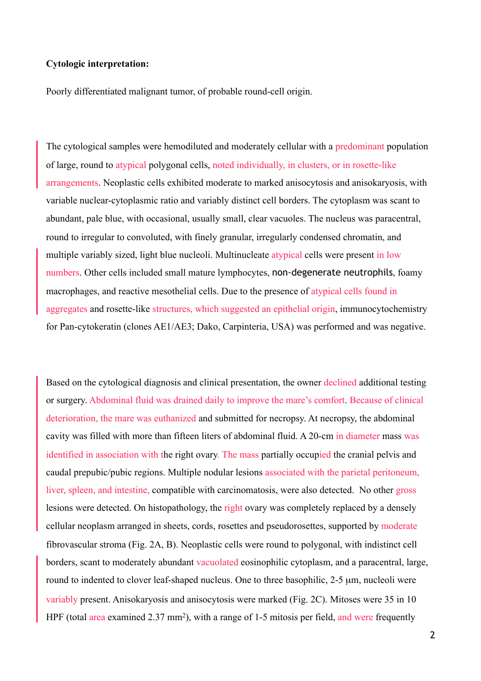#### **Cytologic interpretation:**

Poorly differentiated malignant tumor, of probable round-cell origin.

The cytological samples were hemodiluted and moderately cellular with a predominant population of large, round to atypical polygonal cells, noted individually, in clusters, or in rosette-like arrangements. Neoplastic cells exhibited moderate to marked anisocytosis and anisokaryosis, with variable nuclear-cytoplasmic ratio and variably distinct cell borders. The cytoplasm was scant to abundant, pale blue, with occasional, usually small, clear vacuoles. The nucleus was paracentral, round to irregular to convoluted, with finely granular, irregularly condensed chromatin, and multiple variably sized, light blue nucleoli. Multinucleate atypical cells were present in low numbers. Other cells included small mature lymphocytes, non-degenerate neutrophils, foamy macrophages, and reactive mesothelial cells. Due to the presence of atypical cells found in aggregates and rosette-like structures, which suggested an epithelial origin, immunocytochemistry for Pan-cytokeratin (clones AE1/AE3; Dako, Carpinteria, USA) was performed and was negative.

Based on the cytological diagnosis and clinical presentation, the owner declined additional testing or surgery. Abdominal fluid was drained daily to improve the mare's comfort. Because of clinical deterioration, the mare was euthanized and submitted for necropsy. At necropsy, the abdominal cavity was filled with more than fifteen liters of abdominal fluid. A 20-cm in diameter mass was identified in association with the right ovary. The mass partially occupied the cranial pelvis and caudal prepubic/pubic regions. Multiple nodular lesions associated with the parietal peritoneum, liver, spleen, and intestine, compatible with carcinomatosis, were also detected. No other gross lesions were detected. On histopathology, the right ovary was completely replaced by a densely cellular neoplasm arranged in sheets, cords, rosettes and pseudorosettes, supported by moderate fibrovascular stroma (Fig. 2A, B). Neoplastic cells were round to polygonal, with indistinct cell borders, scant to moderately abundant vacuolated eosinophilic cytoplasm, and a paracentral, large, round to indented to clover leaf-shaped nucleus. One to three basophilic, 2-5 µm, nucleoli were variably present. Anisokaryosis and anisocytosis were marked (Fig. 2C). Mitoses were 35 in 10 HPF (total area examined 2.37 mm<sup>2</sup>), with a range of 1-5 mitosis per field, and were frequently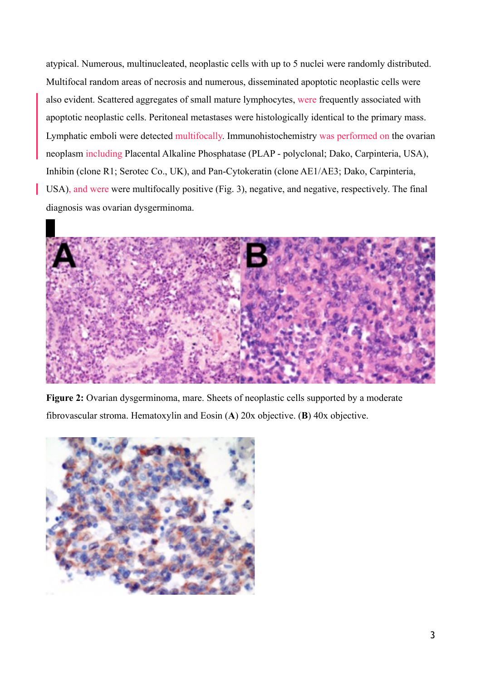atypical. Numerous, multinucleated, neoplastic cells with up to 5 nuclei were randomly distributed. Multifocal random areas of necrosis and numerous, disseminated apoptotic neoplastic cells were also evident. Scattered aggregates of small mature lymphocytes, were frequently associated with apoptotic neoplastic cells. Peritoneal metastases were histologically identical to the primary mass. Lymphatic emboli were detected multifocally. Immunohistochemistry was performed on the ovarian neoplasm including Placental Alkaline Phosphatase (PLAP - polyclonal; Dako, Carpinteria, USA), Inhibin (clone R1; Serotec Co., UK), and Pan-Cytokeratin (clone AE1/AE3; Dako, Carpinteria, USA), and were were multifocally positive (Fig. 3), negative, and negative, respectively. The final diagnosis was ovarian dysgerminoma.



**Figure 2:** Ovarian dysgerminoma, mare. Sheets of neoplastic cells supported by a moderate fibrovascular stroma. Hematoxylin and Eosin (**A**) 20x objective. (**B**) 40x objective.

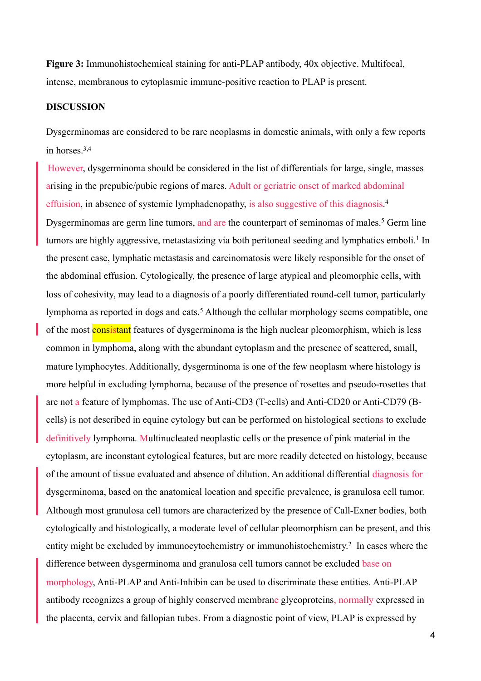**Figure 3:** Immunohistochemical staining for anti-PLAP antibody, 40x objective. Multifocal, intense, membranous to cytoplasmic immune-positive reaction to PLAP is present.

# **DISCUSSION**

Dysgerminomas are considered to be rare neoplasms in domestic animals, with only a few reports in horses  $3,4$ 

However, dysgerminoma should be considered in the list of differentials for large, single, masses arising in the prepubic/pubic regions of mares. Adult or geriatric onset of marked abdominal effuision, in absence of systemic lymphadenopathy, is also suggestive of this diagnosis. 4 Dysgerminomas are germ line tumors, and are the counterpart of seminomas of males.<sup>5</sup> Germ line tumors are highly aggressive, metastasizing via both peritoneal seeding and lymphatics emboli.<sup>1</sup> In the present case, lymphatic metastasis and carcinomatosis were likely responsible for the onset of the abdominal effusion. Cytologically, the presence of large atypical and pleomorphic cells, with loss of cohesivity, may lead to a diagnosis of a poorly differentiated round-cell tumor, particularly lymphoma as reported in dogs and cats.<sup>5</sup> Although the cellular morphology seems compatible, one of the most **consistant** features of dysgerminoma is the high nuclear pleomorphism, which is less common in lymphoma, along with the abundant cytoplasm and the presence of scattered, small, mature lymphocytes. Additionally, dysgerminoma is one of the few neoplasm where histology is more helpful in excluding lymphoma, because of the presence of rosettes and pseudo-rosettes that are not a feature of lymphomas. The use of Anti-CD3 (T-cells) and Anti-CD20 or Anti-CD79 (Bcells) is not described in equine cytology but can be performed on histological sections to exclude definitively lymphoma. Multinucleated neoplastic cells or the presence of pink material in the cytoplasm, are inconstant cytological features, but are more readily detected on histology, because of the amount of tissue evaluated and absence of dilution. An additional differential diagnosis for dysgerminoma, based on the anatomical location and specific prevalence, is granulosa cell tumor. Although most granulosa cell tumors are characterized by the presence of Call-Exner bodies, both cytologically and histologically, a moderate level of cellular pleomorphism can be present, and this entity might be excluded by immunocytochemistry or immunohistochemistry.2 In cases where the difference between dysgerminoma and granulosa cell tumors cannot be excluded base on morphology, Anti-PLAP and Anti-Inhibin can be used to discriminate these entities. Anti-PLAP antibody recognizes a group of highly conserved membrane glycoproteins, normally expressed in the placenta, cervix and fallopian tubes. From a diagnostic point of view, PLAP is expressed by